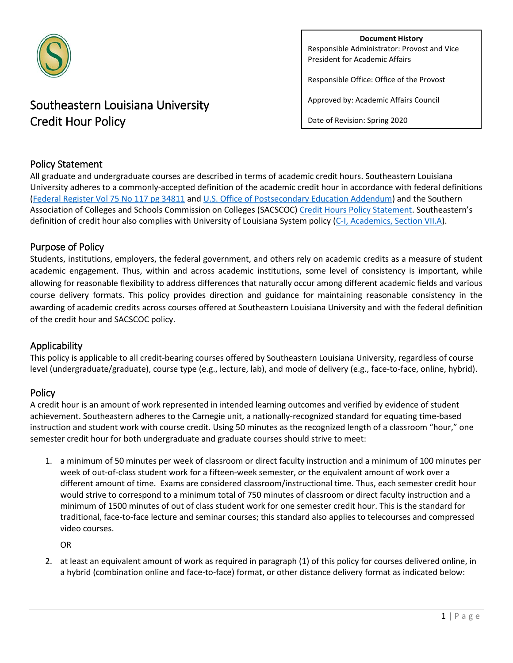

# Southeastern Louisiana University Credit Hour Policy

**Document History** Responsible Administrator: Provost and Vice President for Academic Affairs

Responsible Office: Office of the Provost

Approved by: Academic Affairs Council

Date of Revision: Spring 2020

## Policy Statement

All graduate and undergraduate courses are described in terms of academic credit hours. Southeastern Louisiana University adheres to a commonly-accepted definition of the academic credit hour in accordance with federal definitions [\(Federal Register Vol 75 No 117 pg 34811](http://www.gpo.gov/fdsys/pkg/FR-2010-06-18/pdf/2010-14107.pdf) an[d U.S. Office of Postsecondary Education Addendum\)](https://ifap.ed.gov/dpcletters/attachments/GEN1106.pdf) and the Southern Association of Colleges and Schools Commission on Colleges (SACSCOC[\) Credit Hours Policy Statement.](http://www.sacscoc.org/pdf/081705/Credit%20Hours.pdf) Southeastern's definition of credit hour also complies with University of Louisiana System policy [\(C-I, Academics, Section VII.A\)](http://www.ulsystem.net/assets/docs/searchable/boards/Chpt_1_VII_Academic_Programs.pdf).

## Purpose of Policy

Students, institutions, employers, the federal government, and others rely on academic credits as a measure of student academic engagement. Thus, within and across academic institutions, some level of consistency is important, while allowing for reasonable flexibility to address differences that naturally occur among different academic fields and various course delivery formats. This policy provides direction and guidance for maintaining reasonable consistency in the awarding of academic credits across courses offered at Southeastern Louisiana University and with the federal definition of the credit hour and SACSCOC policy.

### Applicability

This policy is applicable to all credit-bearing courses offered by Southeastern Louisiana University, regardless of course level (undergraduate/graduate), course type (e.g., lecture, lab), and mode of delivery (e.g., face-to-face, online, hybrid).

### Policy

A credit hour is an amount of work represented in intended learning outcomes and verified by evidence of student achievement. Southeastern adheres to the Carnegie unit, a nationally-recognized standard for equating time-based instruction and student work with course credit. Using 50 minutes as the recognized length of a classroom "hour," one semester credit hour for both undergraduate and graduate courses should strive to meet:

1. a minimum of 50 minutes per week of classroom or direct faculty instruction and a minimum of 100 minutes per week of out-of-class student work for a fifteen-week semester, or the equivalent amount of work over a different amount of time. Exams are considered classroom/instructional time. Thus, each semester credit hour would strive to correspond to a minimum total of 750 minutes of classroom or direct faculty instruction and a minimum of 1500 minutes of out of class student work for one semester credit hour. This is the standard for traditional, face-to-face lecture and seminar courses; this standard also applies to telecourses and compressed video courses.

OR

2. at least an equivalent amount of work as required in paragraph (1) of this policy for courses delivered online, in a hybrid (combination online and face-to-face) format, or other distance delivery format as indicated below: